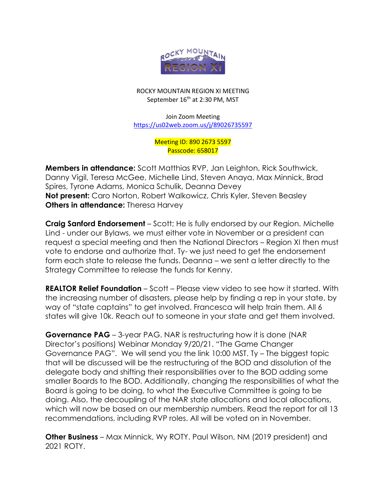

## ROCKY MOUNTAIN REGION XI MEETING September 16<sup>th</sup> at 2:30 PM, MST

Join Zoom Meeting <https://us02web.zoom.us/j/89026735597>

> Meeting ID: 890 2673 5597 Passcode: 658017

**Members in attendance:** Scott Matthias RVP, Jan Leighton, Rick Southwick, Danny Vigil, Teresa McGee, Michelle Lind, Steven Anaya, Max Minnick, Brad Spires, Tyrone Adams, Monica Schulik, Deanna Devey **Not present:** Caro Norton, Robert Walkowicz, Chris Kyler, Steven Beasley **Others in attendance:** Theresa Harvey

**Craig Sanford Endorsement** – Scott; He is fully endorsed by our Region. Michelle Lind - under our Bylaws, we must either vote in November or a president can request a special meeting and then the National Directors – Region XI then must vote to endorse and authorize that. Ty- we just need to get the endorsement form each state to release the funds. Deanna – we sent a letter directly to the Strategy Committee to release the funds for Kenny.

**REALTOR Relief Foundation** – Scott – Please view video to see how it started. With the increasing number of disasters, please help by finding a rep in your state, by way of "state captains" to get involved. Francesca will help train them. All 6 states will give 10k. Reach out to someone in your state and get them involved.

**Governance PAG** – 3-year PAG. NAR is restructuring how it is done (NAR Director's positions) Webinar Monday 9/20/21. "The Game Changer Governance PAG". We will send you the link 10:00 MST. Ty – The biggest topic that will be discussed will be the restructuring of the BOD and dissolution of the delegate body and shifting their responsibilities over to the BOD adding some smaller Boards to the BOD. Additionally, changing the responsibilities of what the Board is going to be doing, to what the Executive Committee is going to be doing. Also, the decoupling of the NAR state allocations and local allocations, which will now be based on our membership numbers. Read the report for all 13 recommendations, including RVP roles. All will be voted on in November.

**Other Business** – Max Minnick, Wy ROTY. Paul Wilson, NM (2019 president) and 2021 ROTY.